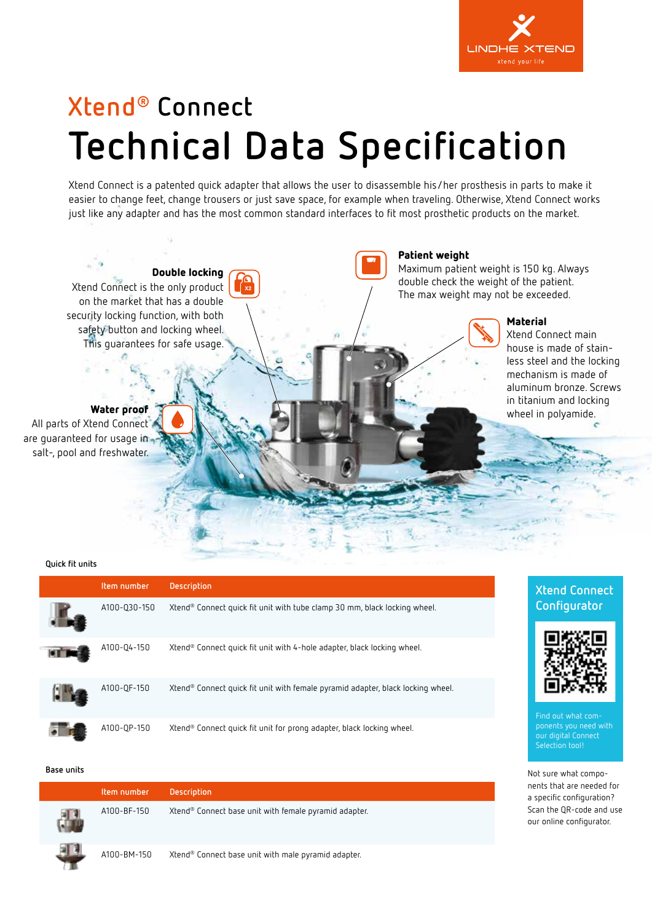

# **Xtend® Connect Technical Data Specification**

Xtend Connect is a patented quick adapter that allows the user to disassemble his/her prosthesis in parts to make it easier to change feet, change trousers or just save space, for example when traveling. Otherwise, Xtend Connect works just like any adapter and has the most common standard interfaces to fit most prosthetic products on the market.



**Quick fit units**

| Item number  | <b>Description</b>                                                                          |
|--------------|---------------------------------------------------------------------------------------------|
| A100-030-150 | Xtend® Connect quick fit unit with tube clamp 30 mm, black locking wheel.                   |
| A100-04-150  | Xtend® Connect quick fit unit with 4-hole adapter, black locking wheel.                     |
| A100-QF-150  | Xtend <sup>®</sup> Connect quick fit unit with female pyramid adapter, black locking wheel. |
| A100-0P-150  | Xtend® Connect quick fit unit for prong adapter, black locking wheel.                       |

#### **Base units**

| Item number | <b>Description</b>                                    |
|-------------|-------------------------------------------------------|
| A100-BF-150 | Xtend® Connect base unit with female pyramid adapter. |
| A100-BM-150 | Xtend® Connect base unit with male pyramid adapter.   |

#### **Xtend Connect Configurator**



Find out what components you need with our digital Connect Selection tool!

Not sure what components that are needed for a specific configuration? Scan the QR-code and use our online configurator.